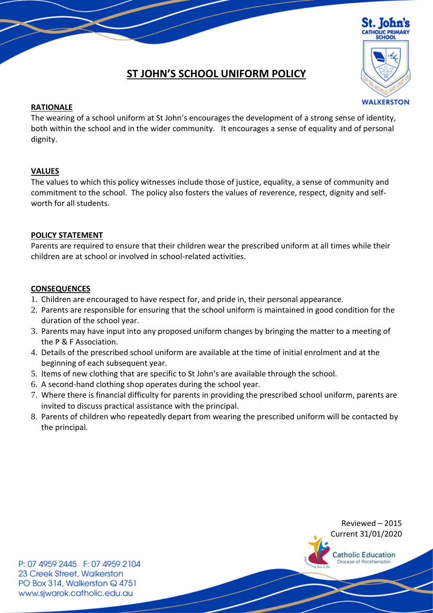

# **ST JOHN'S SCHOOL UNIFORM POLICY**

## **RATIONALE**

The wearing of a school uniform at St John's encourages the development of a strong sense of identity, both within the school and in the wider community. It encourages a sense of equality and of personal dignity.

## **VALUES**

The values to which this policy witnesses include those of justice, equality, a sense of community and commitment to the school. The policy also fosters the values of reverence, respect, dignity and selfworth for all students.

## **POLICY STATEMENT**

Parents are required to ensure that their children wear the prescribed uniform at all times while their children are at school or involved in school-related activities.

## **CONSEQUENCES**

- 1. Children are encouraged to have respect for, and pride in, their personal appearance.
- 2. Parents are responsible for ensuring that the school uniform is maintained in good condition for the duration of the school year.
- 3. Parents may have input into any proposed uniform changes by bringing the matter to a meeting of the P & F Association.
- 4. Details of the prescribed school uniform are available at the time of initial enrolment and at the beginning of each subsequent year.
- 5. Items of new clothing that are specific to St John's are available through the school.
- 6. A second-hand clothing shop operates during the school year.
- 7. Where there is financial difficulty for parents in providing the prescribed school uniform, parents are invited to discuss practical assistance with the principal.
- 8. Parents of children who repeatedly depart from wearing the prescribed uniform will be contacted by the principal.



Reviewed – 2015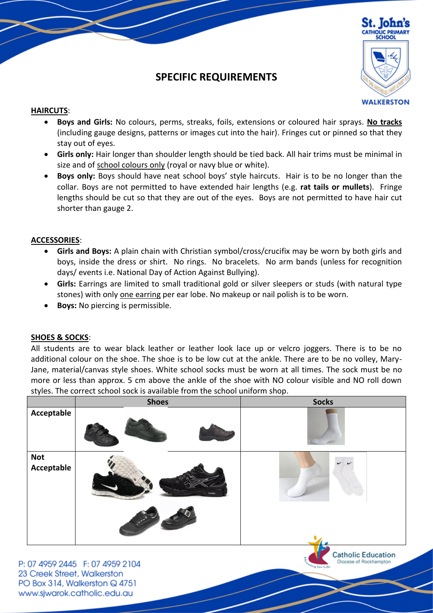

## **SPECIFIC REQUIREMENTS**

## **HAIRCUTS**:

- **Boys and Girls:** No colours, perms, streaks, foils, extensions or coloured hair sprays. **No tracks** (including gauge designs, patterns or images cut into the hair). Fringes cut or pinned so that they stay out of eyes.
- **Girls only:** Hair longer than shoulder length should be tied back. All hair trims must be minimal in size and of school colours only (royal or navy blue or white).
- **Boys only:** Boys should have neat school boys' style haircuts. Hair is to be no longer than the collar. Boys are not permitted to have extended hair lengths (e.g. **rat tails or mullets**). Fringe lengths should be cut so that they are out of the eyes. Boys are not permitted to have hair cut shorter than gauge 2.

## **ACCESSORIES**:

- **Girls and Boys:** A plain chain with Christian symbol/cross/crucifix may be worn by both girls and boys, inside the dress or shirt. No rings. No bracelets. No arm bands (unless for recognition days/ events i.e. National Day of Action Against Bullying).
- **Girls:** Earrings are limited to small traditional gold or silver sleepers or studs (with natural type stones) with only one earring per ear lobe. No makeup or nail polish is to be worn.
- **Boys:** No piercing is permissible.

## **SHOES & SOCKS**:

All students are to wear black leather or leather look lace up or velcro joggers. There is to be no additional colour on the shoe. The shoe is to be low cut at the ankle. There are to be no volley, Mary-Jane, material/canvas style shoes. White school socks must be worn at all times. The sock must be no more or less than approx. 5 cm above the ankle of the shoe with NO colour visible and NO roll down styles. The correct school sock is available from the school uniform shop.

|                          | <b>Shoes</b>  | <b>Socks</b>              |
|--------------------------|---------------|---------------------------|
| Acceptable               |               |                           |
| <b>Not</b><br>Acceptable | <b>BOSSER</b> |                           |
|                          | Juvio Para    | <b>Catholic Education</b> |

P: 07 4959 2445 F: 07 4959 2104 23 Creek Street, Walkerston PO Box 314, Walkerston Q 4751 www.sjwarok.catholic.edu.au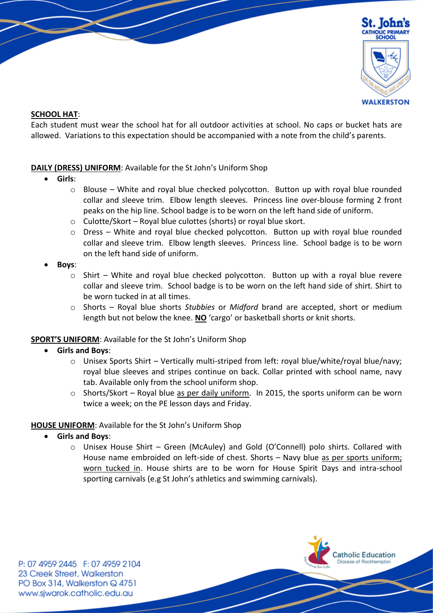

## **SCHOOL HAT**:

Each student must wear the school hat for all outdoor activities at school. No caps or bucket hats are allowed. Variations to this expectation should be accompanied with a note from the child's parents.

## **DAILY (DRESS) UNIFORM**: Available for the St John's Uniform Shop

- **Girls**:
	- $\circ$  Blouse White and royal blue checked polycotton. Button up with royal blue rounded collar and sleeve trim. Elbow length sleeves. Princess line over-blouse forming 2 front peaks on the hip line. School badge is to be worn on the left hand side of uniform.
	- o Culotte/Skort *–* Royal blue culottes (shorts) or royal blue skort.
	- $\circ$  Dress White and royal blue checked polycotton. Button up with royal blue rounded collar and sleeve trim. Elbow length sleeves. Princess line. School badge is to be worn on the left hand side of uniform.
- **Boys**:
	- $\circ$  Shirt White and royal blue checked polycotton. Button up with a royal blue revere collar and sleeve trim. School badge is to be worn on the left hand side of shirt. Shirt to be worn tucked in at all times.
	- o Shorts Royal blue shorts *Stubbies* or *Midford* brand are accepted, short or medium length but not below the knee. **NO** 'cargo' or basketball shorts or knit shorts.

## **SPORT'S UNIFORM**: Available for the St John's Uniform Shop

- **Girls and Boys**:
	- $\circ$  Unisex Sports Shirt Vertically multi-striped from left: royal blue/white/royal blue/navy; royal blue sleeves and stripes continue on back. Collar printed with school name, navy tab. Available only from the school uniform shop.
	- o Shorts/Skort *–* Royal blue as per daily uniform. In 2015, the sports uniform can be worn twice a week; on the PE lesson days and Friday.

## **HOUSE UNIFORM**: Available for the St John's Uniform Shop

- **Girls and Boys**:
	- o Unisex House Shirt Green (McAuley) and Gold (O'Connell) polo shirts. Collared with House name embroided on left-side of chest. Shorts - Navy blue as per sports uniform; worn tucked in. House shirts are to be worn for House Spirit Days and intra-school sporting carnivals (e.g St John's athletics and swimming carnivals).